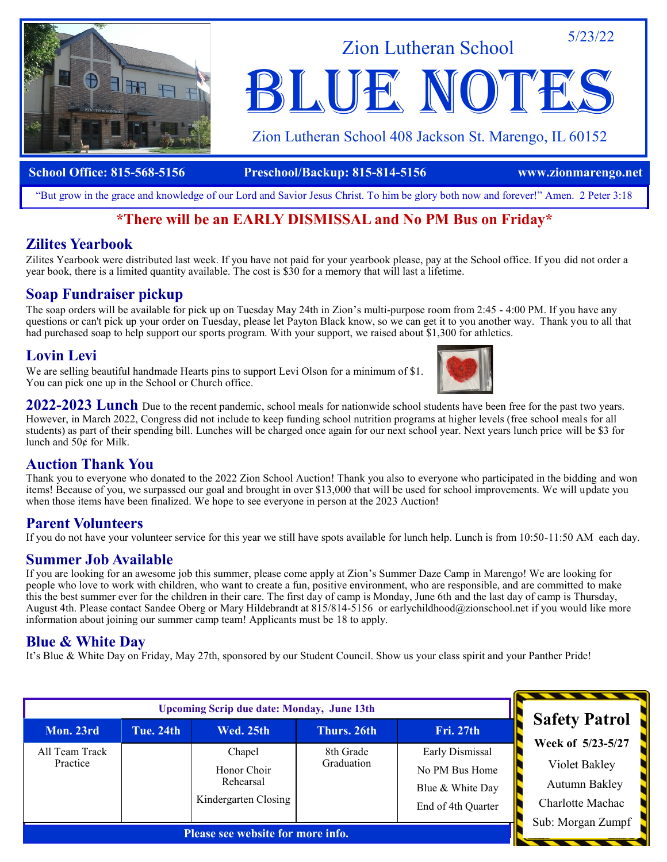

Zion Lutheran School

Zion Lutheran School 408 Jackson St. Marengo, IL 60152

BLUE NOTE

5/23/22

#### **School Office: 815-568-5156 Preschool/Backup: 815-814-5156 www.zionmarengo.net**

"But grow in the grace and knowledge of our Lord and Savior Jesus Christ. To him be glory both now and forever!" Amen. 2 Peter 3:18

### **\*There will be an EARLY DISMISSAL and No PM Bus on Friday\***

### **Zilites Yearbook**

Zilites Yearbook were distributed last week. If you have not paid for your yearbook please, pay at the School office. If you did not order a year book, there is a limited quantity available. The cost is \$30 for a memory that will last a lifetime.

### **Soap Fundraiser pickup**

The soap orders will be available for pick up on Tuesday May 24th in Zion's multi-purpose room from 2:45 - 4:00 PM. If you have any questions or can't pick up your order on Tuesday, please let Payton Black know, so we can get it to you another way. Thank you to all that had purchased soap to help support our sports program. With your support, we raised about \$1,300 for athletics.

### **Lovin Levi**

We are selling beautiful handmade Hearts pins to support Levi Olson for a minimum of \$1. You can pick one up in the School or Church office.



**2022-2023 Lunch** Due to the recent pandemic, school meals for nationwide school students have been free for the past two years. However, in March 2022, Congress did not include to keep funding school nutrition programs at higher levels (free school meals for all students) as part of their spending bill. Lunches will be charged once again for our next school year. Next years lunch price will be \$3 for lunch and 50¢ for Milk.

### **Auction Thank You**

Thank you to everyone who donated to the 2022 Zion School Auction! Thank you also to everyone who participated in the bidding and won items! Because of you, we surpassed our goal and brought in over \$13,000 that will be used for school improvements. We will update you when those items have been finalized. We hope to see everyone in person at the 2023 Auction!

### **Parent Volunteers**

If you do not have your volunteer service for this year we still have spots available for lunch help. Lunch is from 10:50-11:50 AM each day.

### **Summer Job Available**

If you are looking for an awesome job this summer, please come apply at Zion's Summer Daze Camp in Marengo! We are looking for people who love to work with children, who want to create a fun, positive environment, who are responsible, and are committed to make this the best summer ever for the children in their care. The first day of camp is Monday, June 6th and the last day of camp is Thursday, August 4th. Please contact Sandee Oberg or Mary Hildebrandt at 815/814-5156 or earlychildhood@zionschool.net if you would like more information about joining our summer camp team! Applicants must be 18 to apply.

### **Blue & White Day**

It's Blue & White Day on Friday, May 27th, sponsored by our Student Council. Show us your class spirit and your Panther Pride!

| <b>Upcoming Scrip due date: Monday, June 13th</b> |                  |                                                            |                         |                                                                             |                                                    |
|---------------------------------------------------|------------------|------------------------------------------------------------|-------------------------|-----------------------------------------------------------------------------|----------------------------------------------------|
| Mon. 23rd                                         | <b>Tue. 24th</b> | <b>Wed. 25th</b>                                           | Thurs. 26th             | <b>Fri. 27th</b>                                                            | <b>Safety Patrol</b><br>Week of 5/23-5/27          |
| All Team Track<br>Practice                        |                  | Chapel<br>Honor Choir<br>Rehearsal<br>Kindergarten Closing | 8th Grade<br>Graduation | Early Dismissal<br>No PM Bus Home<br>Blue & White Day<br>End of 4th Quarter | Violet Bakley<br>Autumn Bakley<br>Charlotte Machac |
| Please see website for more info.                 |                  |                                                            |                         |                                                                             | Sub: Morgan Zumpf                                  |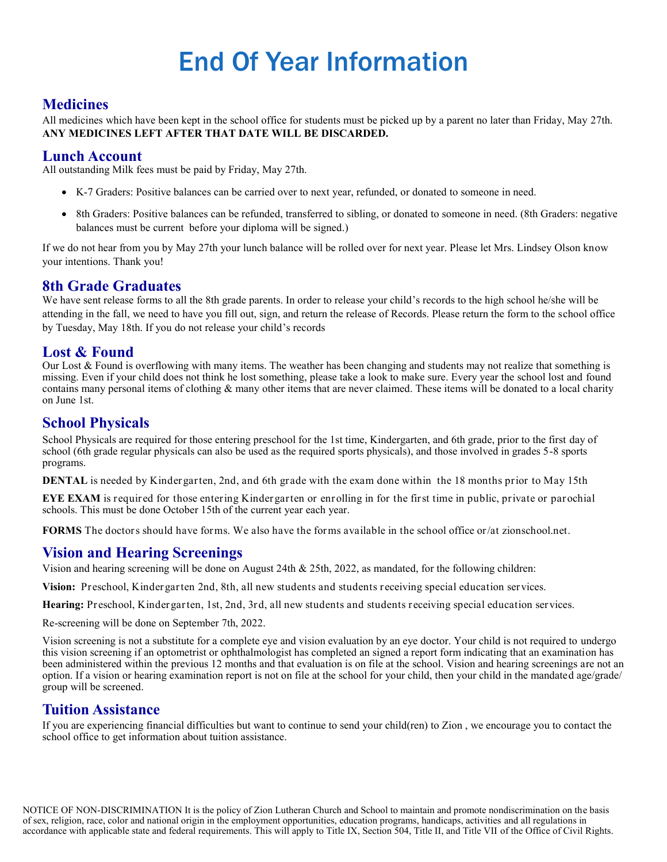### End Of Year Information

### **Medicines**

All medicines which have been kept in the school office for students must be picked up by a parent no later than Friday, May 27th. **ANY MEDICINES LEFT AFTER THAT DATE WILL BE DISCARDED.**

### **Lunch Account**

All outstanding Milk fees must be paid by Friday, May 27th.

- K-7 Graders: Positive balances can be carried over to next year, refunded, or donated to someone in need.
- 8th Graders: Positive balances can be refunded, transferred to sibling, or donated to someone in need. (8th Graders: negative balances must be current before your diploma will be signed.)

If we do not hear from you by May 27th your lunch balance will be rolled over for next year. Please let Mrs. Lindsey Olson know your intentions. Thank you!

### **8th Grade Graduates**

We have sent release forms to all the 8th grade parents. In order to release your child's records to the high school he/she will be attending in the fall, we need to have you fill out, sign, and return the release of Records. Please return the form to the school office by Tuesday, May 18th. If you do not release your child's records

### **Lost & Found**

Our Lost & Found is overflowing with many items. The weather has been changing and students may not realize that something is missing. Even if your child does not think he lost something, please take a look to make sure. Every year the school lost and found contains many personal items of clothing & many other items that are never claimed. These items will be donated to a local charity on June 1st.

### **School Physicals**

School Physicals are required for those entering preschool for the 1st time, Kindergarten, and 6th grade, prior to the first day of school (6th grade regular physicals can also be used as the required sports physicals), and those involved in grades 5-8 sports programs.

**DENTAL** is needed by Kindergarten, 2nd, and 6th grade with the exam done within the 18 months prior to May 15th

**EYE EXAM** is required for those entering Kindergarten or enrolling in for the first time in public, private or parochial schools. This must be done October 15th of the current year each year.

**FORMS** The doctors should have forms. We also have the forms available in the school office or/at zionschool.net.

### **Vision and Hearing Screenings**

Vision and hearing screening will be done on August 24th & 25th, 2022, as mandated, for the following children:

**Vision:** Preschool, Kindergarten 2nd, 8th, all new students and students receiving special education services.

**Hearing:** Preschool, Kindergarten, 1st, 2nd, 3rd, all new students and students receiving special education services.

Re-screening will be done on September 7th, 2022.

Vision screening is not a substitute for a complete eye and vision evaluation by an eye doctor. Your child is not required to undergo this vision screening if an optometrist or ophthalmologist has completed an signed a report form indicating that an examination has been administered within the previous 12 months and that evaluation is on file at the school. Vision and hearing screenings are not an option. If a vision or hearing examination report is not on file at the school for your child, then your child in the mandated age/grade/ group will be screened.

### **Tuition Assistance**

If you are experiencing financial difficulties but want to continue to send your child(ren) to Zion , we encourage you to contact the school office to get information about tuition assistance.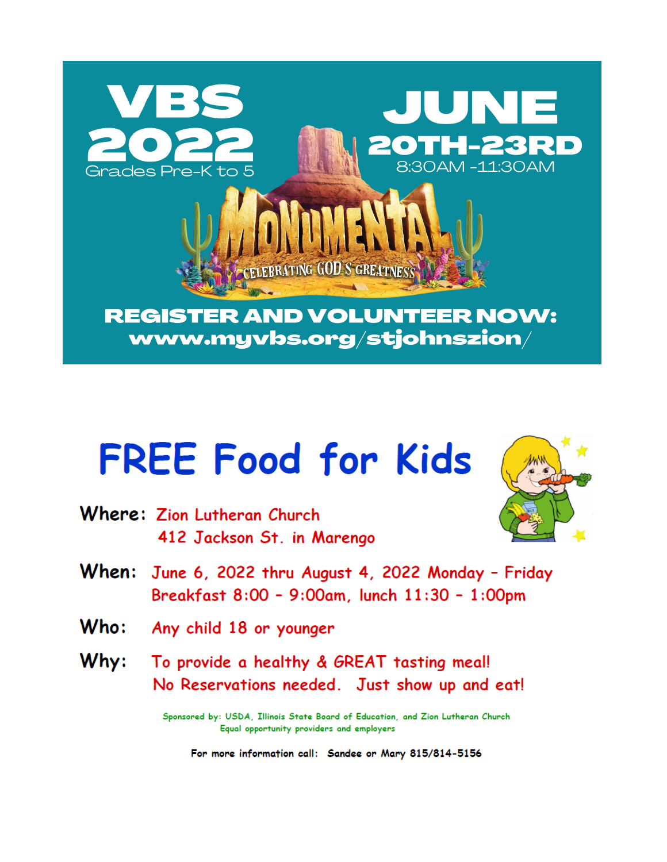

# **FREE Food for Kids**

Where: Zion Lutheran Church 412 Jackson St. in Marengo



- When: June 6, 2022 thru August 4, 2022 Monday Friday Breakfast 8:00 - 9:00am, lunch 11:30 - 1:00pm
- $Who:$ Any child 18 or younger
- To provide a healthy & GREAT tasting meal!  $Why:$ No Reservations needed. Just show up and eat!

Sponsored by: USDA, Illinois State Board of Education, and Zion Lutheran Church Equal opportunity providers and employers

For more information call: Sandee or Mary 815/814-5156